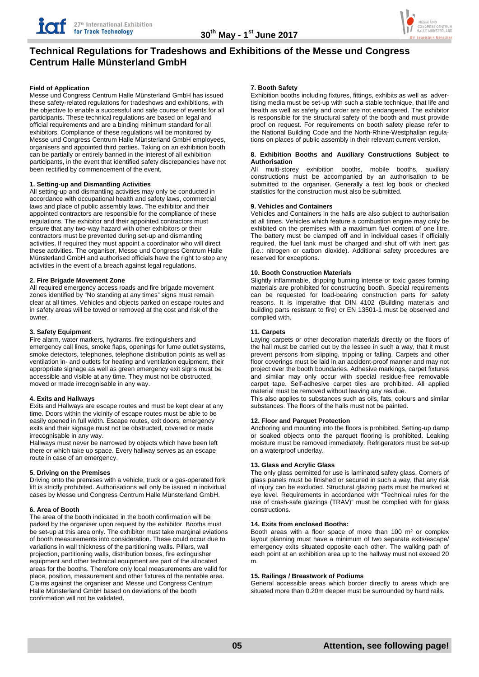

# **Technical Regulations for Tradeshows and Exhibitions of the Messe und Congress Centrum Halle Münsterland GmbH**

## **Field of Application**

Messe und Congress Centrum Halle Münsterland GmbH has issued these safety-related regulations for tradeshows and exhibitions, with the objective to enable a successful and safe course of events for all participants. These technical regulations are based on legal and official requirements and are a binding minimum standard for all exhibitors. Compliance of these regulations will be monitored by Messe und Congress Centrum Halle Münsterland GmbH employees, organisers and appointed third parties. Taking on an exhibition booth can be partially or entirely banned in the interest of all exhibition participants, in the event that identified safety discrepancies have not been rectified by commencement of the event.

## **1. Setting-up and Dismantling Activities**

All setting-up and dismantling activities may only be conducted in accordance with occupational health and safety laws, commercial laws and place of public assembly laws. The exhibitor and their appointed contractors are responsible for the compliance of these regulations. The exhibitor and their appointed contractors must ensure that any two-way hazard with other exhibitors or their contractors must be prevented during set-up and dismantling activities. If required they must appoint a coordinator who will direct these activities. The organiser, Messe und Congress Centrum Halle Münsterland GmbH and authorised officials have the right to stop any activities in the event of a breach against legal regulations.

# **2. Fire Brigade Movement Zone**

All required emergency access roads and fire brigade movement zones identified by "No standing at any times" signs must remain clear at all times. Vehicles and objects parked on escape routes and in safety areas will be towed or removed at the cost and risk of the owner.

# **3. Safety Equipment**

Fire alarm, water markers, hydrants, fire extinguishers and emergency call lines, smoke flaps, openings for fume outlet systems, smoke detectors, telephones, telephone distribution points as well as ventilation in- and outlets for heating and ventilation equipment, their appropriate signage as well as green emergency exit signs must be accessible and visible at any time. They must not be obstructed, moved or made irrecognisable in any way.

# **4. Exits and Hallways**

Exits and Hallways are escape routes and must be kept clear at any time. Doors within the vicinity of escape routes must be able to be easily opened in full width. Escape routes, exit doors, emergency exits and their signage must not be obstructed, covered or made irrecognisable in any way.

Hallways must never be narrowed by objects which have been left there or which take up space. Every hallway serves as an escape route in case of an emergency.

# **5. Driving on the Premises**

Driving onto the premises with a vehicle, truck or a gas-operated fork lift is strictly prohibited. Authorisations will only be issued in individual cases by Messe und Congress Centrum Halle Münsterland GmbH.

#### **6. Area of Booth**

The area of the booth indicated in the booth confirmation will be parked by the organiser upon request by the exhibitor. Booths must be set-up at this area only. The exhibitor must take marginal eviations of booth measurements into consideration. These could occur due to variations in wall thickness of the partitioning walls. Pillars, wall projection, partitioning walls, distribution boxes, fire extinguisher equipment and other technical equipment are part of the allocated areas for the booths. Therefore only local measurements are valid for place, position, measurement and other fixtures of the rentable area. Claims against the organiser and Messe und Congress Centrum Halle Münsterland GmbH based on deviations of the booth confirmation will not be validated.

## **7. Booth Safety**

Exhibition booths including fixtures, fittings, exhibits as well as advertising media must be set-up with such a stable technique, that life and health as well as safety and order are not endangered. The exhibitor is responsible for the structural safety of the booth and must provide proof on request. For requirements on booth safety please refer to the National Building Code and the North-Rhine-Westphalian regulations on places of public assembly in their relevant current version.

#### **8. Exhibition Booths and Auxiliary Constructions Subject to Authorisation**

All multi-storey exhibition booths, mobile booths, auxiliary constructions must be accompanied by an authorisation to be submitted to the organiser. Generally a test log book or checked statistics for the construction must also be submitted.

# **9. Vehicles and Containers**

Vehicles and Containers in the halls are also subject to authorisation at all times. Vehicles which feature a combustion engine may only be exhibited on the premises with a maximum fuel content of one litre. The battery must be clamped off and in individual cases if officially required, the fuel tank must be charged and shut off with inert gas (i.e.: nitrogen or carbon dioxide). Additional safety procedures are reserved for exceptions.

# **10. Booth Construction Materials**

Slightly inflammable, dripping burning intense or toxic gases forming materials are prohibited for constructing booth. Special requirements can be requested for load-bearing construction parts for safety reasons. It is imperative that DIN 4102 (Building materials and building parts resistant to fire) or EN 13501-1 must be observed and complied with.

#### **11. Carpets**

Laying carpets or other decoration materials directly on the floors of the hall must be carried out by the lessee in such a way, that it must prevent persons from slipping, tripping or falling. Carpets and other floor coverings must be laid in an accident-proof manner and may not project over the booth boundaries. Adhesive markings, carpet fixtures and similar may only occur with special residue-free removable carpet tape. Self-adhesive carpet tiles are prohibited. All applied material must be removed without leaving any residue.

This also applies to substances such as oils, fats, colours and similar substances. The floors of the halls must not be painted.

#### **12. Floor and Parquet Protection**

Anchoring and mounting into the floors is prohibited. Setting-up damp or soaked objects onto the parquet flooring is prohibited. Leaking moisture must be removed immediately. Refrigerators must be set-up on a waterproof underlay.

# **13. Glass and Acrylic Glass**

The only glass permitted for use is laminated safety glass. Corners of glass panels must be finished or secured in such a way, that any risk of injury can be excluded. Structural glazing parts must be marked at eye level. Requirements in accordance with "Technical rules for the use of crash-safe glazings (TRAV)" must be complied with for glass constructions.

#### **14. Exits from enclosed Booths:**

Booth areas with a floor space of more than 100 m² or complex layout planning must have a minimum of two separate exits/escape/ emergency exits situated opposite each other. The walking path of each point at an exhibition area up to the hallway must not exceed 20 m.

### **15. Railings / Breastwork of Podiums**

General accessible areas which border directly to areas which are situated more than 0.20m deeper must be surrounded by hand rails.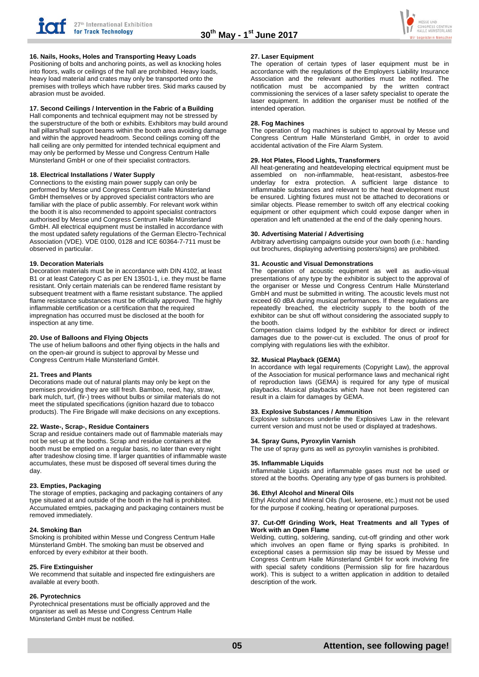

# **16. Nails, Hooks, Holes and Transporting Heavy Loads**

Positioning of bolts and anchoring points, as well as knocking holes into floors, walls or ceilings of the hall are prohibited. Heavy loads, heavy load material and crates may only be transported onto the premises with trolleys which have rubber tires. Skid marks caused by abrasion must be avoided.

## **17. Second Ceilings / Intervention in the Fabric of a Building**

Hall components and technical equipment may not be stressed by the superstructure of the both or exhibits. Exhibitors may build around hall pillars/hall support beams within the booth area avoiding damage and within the approved headroom. Second ceilings coming off the hall ceiling are only permitted for intended technical equipment and may only be performed by Messe und Congress Centrum Halle Münsterland GmbH or one of their specialist contractors.

# **18. Electrical Installations / Water Supply**

Connections to the existing main power supply can only be performed by Messe und Congress Centrum Halle Münsterland GmbH themselves or by approved specialist contractors who are familiar with the place of public assembly. For relevant work within the booth it is also recommended to appoint specialist contractors authorised by Messe und Congress Centrum Halle Münsterland GmbH. All electrical equipment must be installed in accordance with the most updated safety regulations of the German Electro-Technical Association (VDE). VDE 0100, 0128 and ICE 60364-7-711 must be observed in particular.

#### **19. Decoration Materials**

Decoration materials must be in accordance with DIN 4102, at least B1 or at least Category C as per EN 13501-1, i.e. they must be flame resistant. Only certain materials can be rendered flame resistant by subsequent treatment with a flame resistant substance. The applied flame resistance substances must be officially approved. The highly inflammable certification or a certification that the required impregnation has occurred must be disclosed at the booth for inspection at any time.

## **20. Use of Balloons and Flying Objects**

The use of helium balloons and other flying objects in the halls and on the open-air ground is subject to approval by Messe und Congress Centrum Halle Münsterland GmbH.

#### **21. Trees and Plants**

Decorations made out of natural plants may only be kept on the premises providing they are still fresh. Bamboo, reed, hay, straw, bark mulch, turf, (fir-) trees without bulbs or similar materials do not meet the stipulated specifications (ignition hazard due to tobacco products). The Fire Brigade will make decisions on any exceptions.

#### **22. Waste-, Scrap-, Residue Containers**

Scrap and residue containers made out of flammable materials may not be set-up at the booths. Scrap and residue containers at the booth must be emptied on a regular basis, no later than every night after tradeshow closing time. If larger quantities of inflammable waste accumulates, these must be disposed off several times during the day.

#### **23. Empties, Packaging**

The storage of empties, packaging and packaging containers of any type situated at and outside of the booth in the hall is prohibited. Accumulated emtpies, packaging and packaging containers must be removed immediately.

#### **24. Smoking Ban**

Smoking is prohibited within Messe und Congress Centrum Halle Münsterland GmbH. The smoking ban must be observed and enforced by every exhibitor at their booth.

#### **25. Fire Extinguisher**

We recommend that suitable and inspected fire extinguishers are available at every booth.

#### **26. Pyrotechnics**

Pyrotechnical presentations must be officially approved and the organiser as well as Messe und Congress Centrum Halle Münsterland GmbH must be notified.

#### **27. Laser Equipment**

The operation of certain types of laser equipment must be in accordance with the regulations of the Employers Liability Insurance Association and the relevant authorities must be notified. The notification must be accompanied by the written contract notification must be accompanied by the commissioning the services of a laser safety specialist to operate the laser equipment. In addition the organiser must be notified of the intended operation.

#### **28. Fog Machines**

The operation of fog machines is subject to approval by Messe und Congress Centrum Halle Münsterland GmbH, in order to avoid accidental activation of the Fire Alarm System.

## **29. Hot Plates, Flood Lights, Transformers**

All heat-generating and heatdeveloping electrical equipment must be assembled on non-inflammable, heat-resistant, asbestos-free underlay for extra protection. A sufficient large distance to inflammable substances and relevant to the heat development must be ensured. Lighting fixtures must not be attached to decorations or similar objects. Please remember to switch off any electrical cooking equipment or other equipment which could expose danger when in operation and left unattended at the end of the daily opening hours.

#### **30. Advertising Material / Advertising**

Arbitrary advertising campaigns outside your own booth (i.e.: handing out brochures, displaying advertising posters/signs) are prohibited.

#### **31. Acoustic and Visual Demonstrations**

The operation of acoustic equipment as well as audio-visual presentations of any type by the exhibitor is subject to the approval of the organiser or Messe und Congress Centrum Halle Münsterland GmbH and must be submitted in writing. The acoustic levels must not exceed 60 dBA during musical performances. If these regulations are repeatedly breached, the electricity supply to the booth of the exhibitor can be shut off without considering the associated supply to the booth.

Compensation claims lodged by the exhibitor for direct or indirect damages due to the power-cut is excluded. The onus of proof for complying with regulations lies with the exhibitor.

#### **32. Musical Playback (GEMA)**

In accordance with legal requirements (Copyright Law), the approval of the Association for musical performance laws and mechanical right of reproduction laws (GEMA) is required for any type of musical playbacks. Musical playbacks which have not been registered can result in a claim for damages by GEMA.

#### **33. Explosive Substances / Ammunition**

Explosive substances underlie the Explosives Law in the relevant current version and must not be used or displayed at tradeshows.

#### **34. Spray Guns, Pyroxylin Varnish**

The use of spray guns as well as pyroxylin varnishes is prohibited.

#### **35. Inflammable Liquids**

Inflammable Liquids and inflammable gases must not be used or stored at the booths. Operating any type of gas burners is prohibited.

#### **36. Ethyl Alcohol and Mineral Oils**

Ethyl Alcohol and Mineral Oils (fuel, kerosene, etc.) must not be used for the purpose if cooking, heating or operational purposes.

#### **37. Cut-Off Grinding Work, Heat Treatments and all Types of Work with an Open Flame**

Welding, cutting, soldering, sanding, cut-off grinding and other work which involves an open flame or flying sparks is prohibited. In exceptional cases a permission slip may be issued by Messe und Congress Centrum Halle Münsterland GmbH for work involving fire with special safety conditions (Permission slip for fire hazardous work). This is subject to a written application in addition to detailed description of the work.